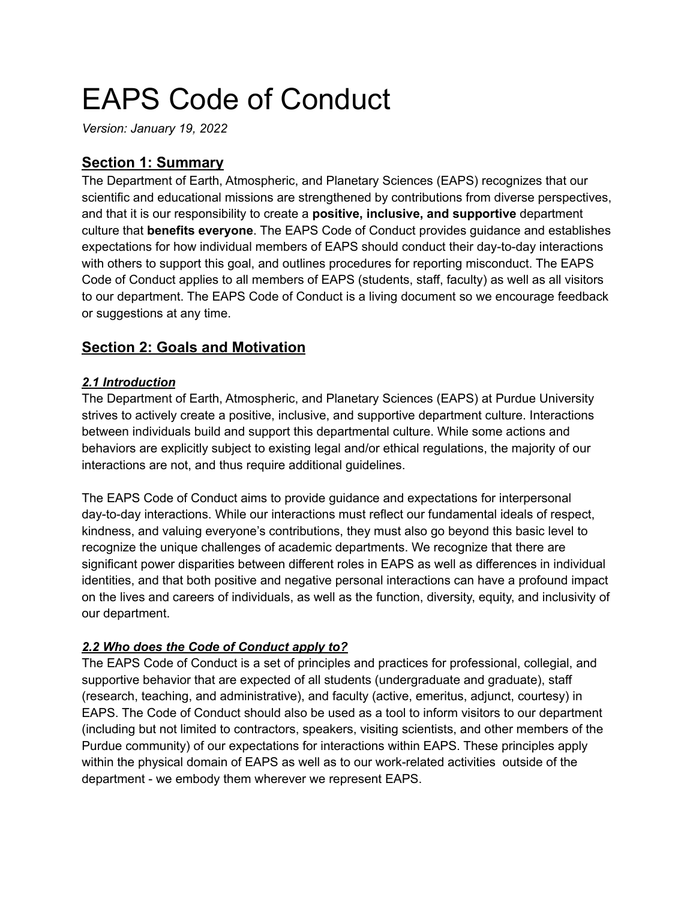# EAPS Code of Conduct

*Version: January 19, 2022*

# **Section 1: Summary**

The Department of Earth, Atmospheric, and Planetary Sciences (EAPS) recognizes that our scientific and educational missions are strengthened by contributions from diverse perspectives, and that it is our responsibility to create a **positive, inclusive, and supportive** department culture that **benefits everyone**. The EAPS Code of Conduct provides guidance and establishes expectations for how individual members of EAPS should conduct their day-to-day interactions with others to support this goal, and outlines procedures for reporting misconduct. The EAPS Code of Conduct applies to all members of EAPS (students, staff, faculty) as well as all visitors to our department. The EAPS Code of Conduct is a living document so we encourage feedback or suggestions at any time.

# **Section 2: Goals and Motivation**

## *2.1 Introduction*

The Department of Earth, Atmospheric, and Planetary Sciences (EAPS) at Purdue University strives to actively create a positive, inclusive, and supportive department culture. Interactions between individuals build and support this departmental culture. While some actions and behaviors are explicitly subject to existing legal and/or ethical regulations, the majority of our interactions are not, and thus require additional guidelines.

The EAPS Code of Conduct aims to provide guidance and expectations for interpersonal day-to-day interactions. While our interactions must reflect our fundamental ideals of respect, kindness, and valuing everyone's contributions, they must also go beyond this basic level to recognize the unique challenges of academic departments. We recognize that there are significant power disparities between different roles in EAPS as well as differences in individual identities, and that both positive and negative personal interactions can have a profound impact on the lives and careers of individuals, as well as the function, diversity, equity, and inclusivity of our department.

## *2.2 Who does the Code of Conduct apply to?*

The EAPS Code of Conduct is a set of principles and practices for professional, collegial, and supportive behavior that are expected of all students (undergraduate and graduate), staff (research, teaching, and administrative), and faculty (active, emeritus, adjunct, courtesy) in EAPS. The Code of Conduct should also be used as a tool to inform visitors to our department (including but not limited to contractors, speakers, visiting scientists, and other members of the Purdue community) of our expectations for interactions within EAPS. These principles apply within the physical domain of EAPS as well as to our work-related activities outside of the department - we embody them wherever we represent EAPS.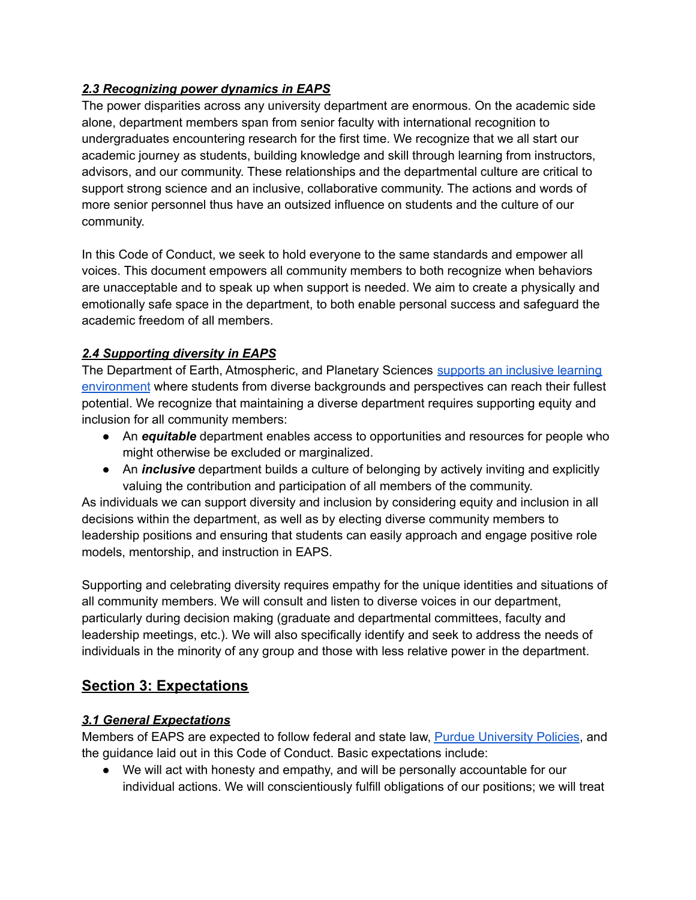#### *2.3 Recognizing power dynamics in EAPS*

The power disparities across any university department are enormous. On the academic side alone, department members span from senior faculty with international recognition to undergraduates encountering research for the first time. We recognize that we all start our academic journey as students, building knowledge and skill through learning from instructors, advisors, and our community. These relationships and the departmental culture are critical to support strong science and an inclusive, collaborative community. The actions and words of more senior personnel thus have an outsized influence on students and the culture of our community.

In this Code of Conduct, we seek to hold everyone to the same standards and empower all voices. This document empowers all community members to both recognize when behaviors are unacceptable and to speak up when support is needed. We aim to create a physically and emotionally safe space in the department, to both enable personal success and safeguard the academic freedom of all members.

## *2.4 Supporting diversity in EAPS*

The Department of Earth, Atmospheric, and Planetary Sciences supports an [inclusive](https://www.eaps.purdue.edu/diversity/index.html) learning [environment](https://www.eaps.purdue.edu/diversity/index.html) where students from diverse backgrounds and perspectives can reach their fullest potential. We recognize that maintaining a diverse department requires supporting equity and inclusion for all community members:

- An *equitable* department enables access to opportunities and resources for people who might otherwise be excluded or marginalized.
- An *inclusive* department builds a culture of belonging by actively inviting and explicitly valuing the contribution and participation of all members of the community.

As individuals we can support diversity and inclusion by considering equity and inclusion in all decisions within the department, as well as by electing diverse community members to leadership positions and ensuring that students can easily approach and engage positive role models, mentorship, and instruction in EAPS.

Supporting and celebrating diversity requires empathy for the unique identities and situations of all community members. We will consult and listen to diverse voices in our department, particularly during decision making (graduate and departmental committees, faculty and leadership meetings, etc.). We will also specifically identify and seek to address the needs of individuals in the minority of any group and those with less relative power in the department.

# **Section 3: Expectations**

## *3.1 General Expectations*

Members of EAPS are expected to follow federal and state law, Purdue [University](https://www.purdue.edu/policies/) Policies, and the guidance laid out in this Code of Conduct. Basic expectations include:

● We will act with honesty and empathy, and will be personally accountable for our individual actions. We will conscientiously fulfill obligations of our positions; we will treat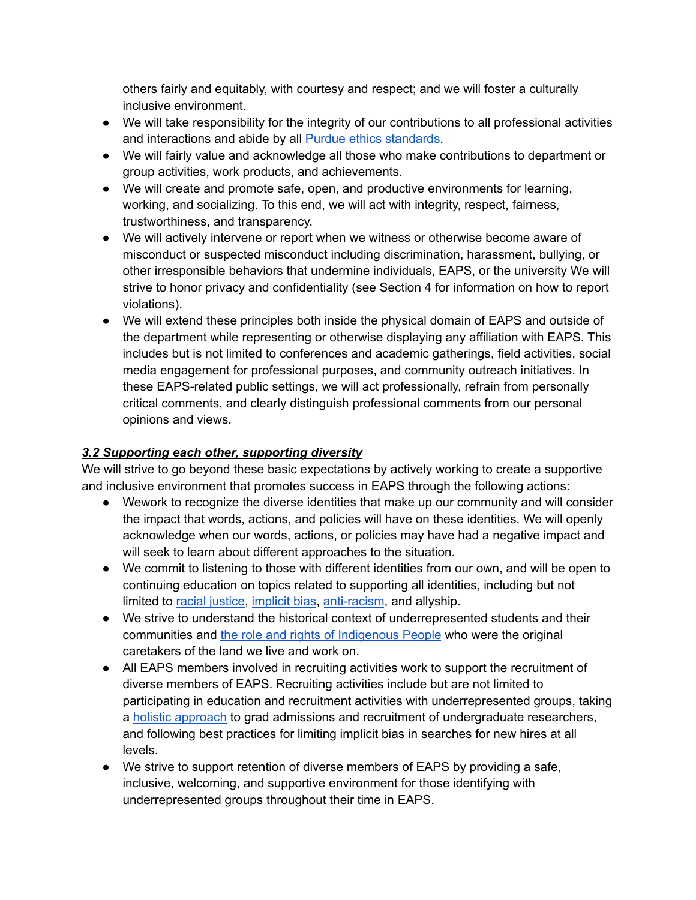others fairly and equitably, with courtesy and respect; and we will foster a culturally inclusive environment.

- We will take responsibility for the integrity of our contributions to all professional activities and interactions and abide by all Purdue ethics [standards](https://www.purdue.edu/policies/ethics/iiia2.html).
- We will fairly value and acknowledge all those who make contributions to department or group activities, work products, and achievements.
- We will create and promote safe, open, and productive environments for learning, working, and socializing. To this end, we will act with integrity, respect, fairness, trustworthiness, and transparency.
- We will actively intervene or report when we witness or otherwise become aware of misconduct or suspected misconduct including discrimination, harassment, bullying, or other irresponsible behaviors that undermine individuals, EAPS, or the university We will strive to honor privacy and confidentiality (see Section 4 for information on how to report violations).
- We will extend these principles both inside the physical domain of EAPS and outside of the department while representing or otherwise displaying any affiliation with EAPS. This includes but is not limited to conferences and academic gatherings, field activities, social media engagement for professional purposes, and community outreach initiatives. In these EAPS-related public settings, we will act professionally, refrain from personally critical comments, and clearly distinguish professional comments from our personal opinions and views.

## *3.2 Supporting each other, supporting diversity*

We will strive to go beyond these basic expectations by actively working to create a supportive and inclusive environment that promotes success in EAPS through the following actions:

- Wework to recognize the diverse identities that make up our community and will consider the impact that words, actions, and policies will have on these identities. We will openly acknowledge when our words, actions, or policies may have had a negative impact and will seek to learn about different approaches to the situation.
- We commit to listening to those with different identities from our own, and will be open to continuing education on topics related to supporting all identities, including but not limited to racial [justice,](https://www.purdue.edu/diversity-inclusion/racial-justice-series/) [implicit](https://www.purdue.edu/diversity-inclusion/dta_projects/resources/index.html) bias, [anti-racism](https://nmaahc.si.edu/sites/default/files/downloads/resources/racialhealinghandbook_p87to94.pdf), and allyship.
- We strive to understand the historical context of underrepresented students and their communities and the role and rights of [Indigenous](https://www.eaps.purdue.edu/diversity/Native_Land_Acknowledgment.html) People who were the original caretakers of the land we live and work on.
- All EAPS members involved in recruiting activities work to support the recruitment of diverse members of EAPS. Recruiting activities include but are not limited to participating in education and recruitment activities with underrepresented groups, taking a holistic [approach](https://rackham.umich.edu/faculty-and-staff/resources-for-directors/holistic-review-of-applications/?_ga=2.149194736.734792724.1607357331-688182675.1561121272) to grad admissions and recruitment of undergraduate researchers, and following best practices for limiting implicit bias in searches for new hires at all levels.
- We strive to support retention of diverse members of EAPS by providing a safe, inclusive, welcoming, and supportive environment for those identifying with underrepresented groups throughout their time in EAPS.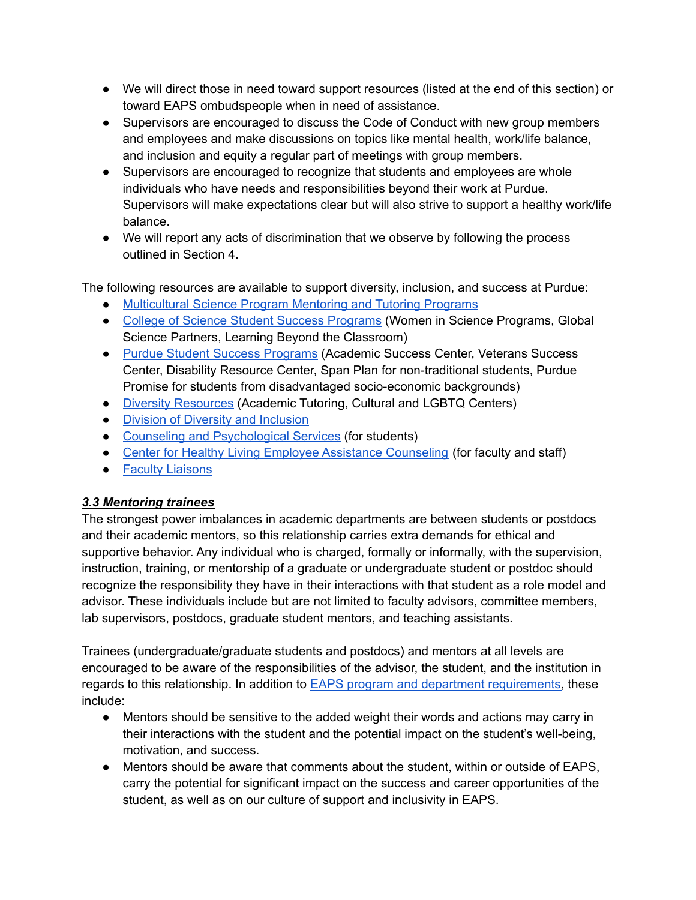- We will direct those in need toward support resources (listed at the end of this section) or toward EAPS ombudspeople when in need of assistance.
- Supervisors are encouraged to discuss the Code of Conduct with new group members and employees and make discussions on topics like mental health, work/life balance, and inclusion and equity a regular part of meetings with group members.
- Supervisors are encouraged to recognize that students and employees are whole individuals who have needs and responsibilities beyond their work at Purdue. Supervisors will make expectations clear but will also strive to support a healthy work/life balance.
- We will report any acts of discrimination that we observe by following the process outlined in Section 4.

The following resources are available to support diversity, inclusion, and success at Purdue:

- [Multicultural](https://www.purdue.edu/science/Multicultural_Science_Programs/) Science Program Mentoring and Tutoring Programs
- College of Science Student Success [Programs](https://www.purdue.edu/science/student-experience/index.html) (Women in Science Programs, Global Science Partners, Learning Beyond the Classroom)
- Purdue Student Success [Programs](https://www.purdue.edu/studentsuccess/) (Academic Success Center, Veterans Success Center, Disability Resource Center, Span Plan for non-traditional students, Purdue Promise for students from disadvantaged socio-economic backgrounds)
- Diversity [Resources](https://www.purdue.edu/science/Multicultural_Science_Programs/diversity-resources.html) (Academic Tutoring, Cultural and LGBTQ Centers)
- Division of Diversity and [Inclusion](https://www.purdue.edu/diversity-inclusion/)
- Counseling and [Psychological](https://www.purdue.edu/caps/) Services (for students)
- Center for Healthy Living Employee Assistance [Counseling](https://www.purdue.edu/hr/CHL/no-cost_Wellness/EAP.php) (for faculty and staff)
- Faculty [Liaisons](https://www.purdue.edu/provost/faculty/resources/support/index.html)

#### *3.3 Mentoring trainees*

The strongest power imbalances in academic departments are between students or postdocs and their academic mentors, so this relationship carries extra demands for ethical and supportive behavior. Any individual who is charged, formally or informally, with the supervision, instruction, training, or mentorship of a graduate or undergraduate student or postdoc should recognize the responsibility they have in their interactions with that student as a role model and advisor. These individuals include but are not limited to faculty advisors, committee members, lab supervisors, postdocs, graduate student mentors, and teaching assistants.

Trainees (undergraduate/graduate students and postdocs) and mentors at all levels are encouraged to be aware of the responsibilities of the advisor, the student, and the institution in regards to this relationship. In addition to EAPS program and department [requirements,](https://www.eaps.purdue.edu/for_students/graduate/graduate_program_regulations.html) these include:

- Mentors should be sensitive to the added weight their words and actions may carry in their interactions with the student and the potential impact on the student's well-being, motivation, and success.
- Mentors should be aware that comments about the student, within or outside of EAPS, carry the potential for significant impact on the success and career opportunities of the student, as well as on our culture of support and inclusivity in EAPS.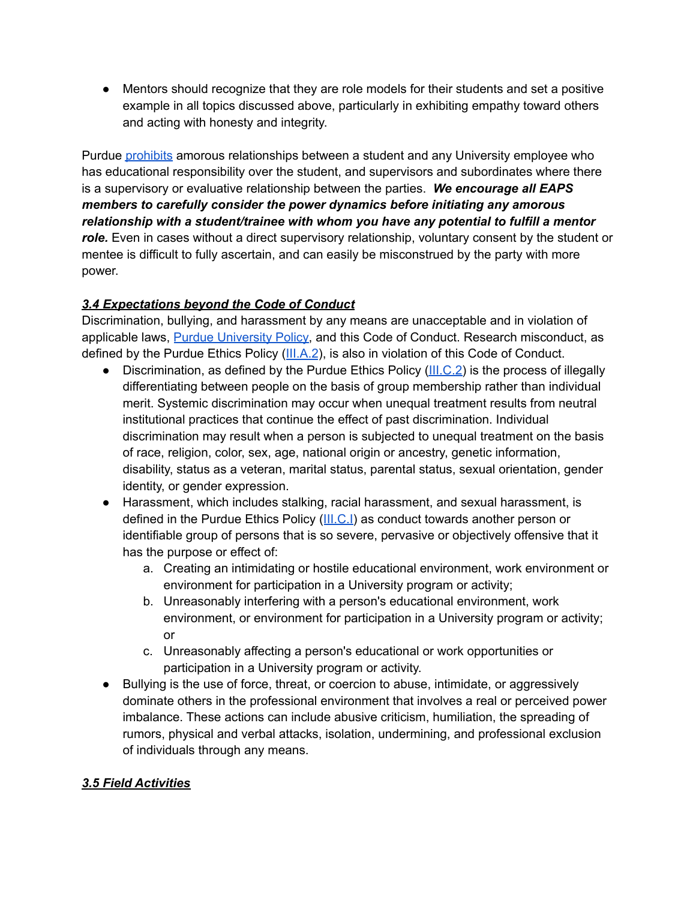● Mentors should recognize that they are role models for their students and set a positive example in all topics discussed above, particularly in exhibiting empathy toward others and acting with honesty and integrity.

Purdue [prohibits](https://www.purdue.edu/policies/ethics/iiia1.html) amorous relationships between a student and any University employee who has educational responsibility over the student, and supervisors and subordinates where there is a supervisory or evaluative relationship between the parties. *We encourage all EAPS members to carefully consider the power dynamics before initiating any amorous relationship with a student/trainee with whom you have any potential to fulfill a mentor* role. Even in cases without a direct supervisory relationship, voluntary consent by the student or mentee is difficult to fully ascertain, and can easily be misconstrued by the party with more power.

## *3.4 Expectations beyond the Code of Conduct*

Discrimination, bullying, and harassment by any means are unacceptable and in violation of applicable laws, Purdue [University](https://www.purdue.edu/policies/ethics/index.html) Policy, and this Code of Conduct. Research misconduct, as defined by the Purdue Ethics Policy ([III.A.2](https://www.purdue.edu/policies/ethics/iiia2.html)), is also in violation of this Code of Conduct.

- Discrimination, as defined by the Purdue Ethics Policy [\(III.C.2\)](https://www.purdue.edu/policies/ethics/iiic2.html) is the process of illegally differentiating between people on the basis of group membership rather than individual merit. Systemic discrimination may occur when unequal treatment results from neutral institutional practices that continue the effect of past discrimination. Individual discrimination may result when a person is subjected to unequal treatment on the basis of race, religion, color, sex, age, national origin or ancestry, genetic information, disability, status as a veteran, marital status, parental status, sexual orientation, gender identity, or gender expression.
- Harassment, which includes stalking, racial harassment, and sexual harassment, is defined in the Purdue Ethics Policy ([III.C.I\)](https://www.purdue.edu/policies/ethics/iiic1.html) as conduct towards another person or identifiable group of persons that is so severe, pervasive or objectively offensive that it has the purpose or effect of:
	- a. Creating an intimidating or hostile educational environment, work environment or environment for participation in a University program or activity;
	- b. Unreasonably interfering with a person's educational environment, work environment, or environment for participation in a University program or activity; or
	- c. Unreasonably affecting a person's educational or work opportunities or participation in a University program or activity.
- Bullying is the use of force, threat, or coercion to abuse, intimidate, or aggressively dominate others in the professional environment that involves a real or perceived power imbalance. These actions can include abusive criticism, humiliation, the spreading of rumors, physical and verbal attacks, isolation, undermining, and professional exclusion of individuals through any means.

#### *3.5 Field Activities*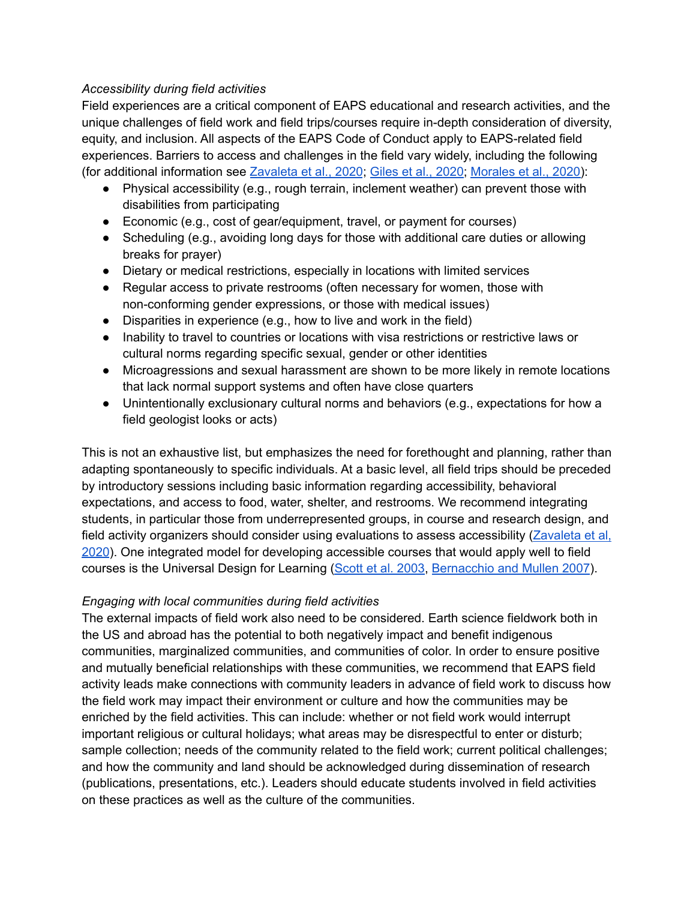#### *Accessibility during field activities*

Field experiences are a critical component of EAPS educational and research activities, and the unique challenges of field work and field trips/courses require in-depth consideration of diversity, equity, and inclusion. All aspects of the EAPS Code of Conduct apply to EAPS-related field experiences. Barriers to access and challenges in the field vary widely, including the following (for additional information see [Zavaleta](https://www.sciencedirect.com/science/article/pii/S0169534720302202?casa_token=x0fexDdBXdkAAAAA:c2KnK8bYVktVM5HrHsNbpV71h2isIhZUo8BXNF33xjqYqH5RL1GDOg2fnFUPgjcF6P6PkU7C) et al., 2020; Giles et al., [2020;](https://www.researchgate.net/profile/Sam_Giles4/publication/336955169_The_Future_of_Fieldwork_in_Undergraduate_Geoscience_Degrees/links/5ea2de24299bf1438944089f/The-Future-of-%20Fieldwork-in-Undergraduate-Geoscience-Degrees.pdf) [Morales](https://esajournals.onlinelibrary.wiley.com/doi/pdf/10.1002/bes2.1742) et al., 2020):

- Physical accessibility (e.g., rough terrain, inclement weather) can prevent those with disabilities from participating
- Economic (e.g., cost of gear/equipment, travel, or payment for courses)
- Scheduling (e.g., avoiding long days for those with additional care duties or allowing breaks for prayer)
- Dietary or medical restrictions, especially in locations with limited services
- Regular access to private restrooms (often necessary for women, those with non-conforming gender expressions, or those with medical issues)
- Disparities in experience (e.g., how to live and work in the field)
- Inability to travel to countries or locations with visa restrictions or restrictive laws or cultural norms regarding specific sexual, gender or other identities
- Microagressions and sexual harassment are shown to be more likely in remote locations that lack normal support systems and often have close quarters
- Unintentionally exclusionary cultural norms and behaviors (e.g., expectations for how a field geologist looks or acts)

This is not an exhaustive list, but emphasizes the need for forethought and planning, rather than adapting spontaneously to specific individuals. At a basic level, all field trips should be preceded by introductory sessions including basic information regarding accessibility, behavioral expectations, and access to food, water, shelter, and restrooms. We recommend integrating students, in particular those from underrepresented groups, in course and research design, and field activity organizers should consider using evaluations to assess accessibility [\(Zavaleta](https://www.sciencedirect.com/science/article/pii/S0169534720302202?casa_token=x0fexDdBXdkAAAAA:c2KnK8bYVktVM5HrHsNbpV71h2isIhZUo8BXNF33xjqYqH5RL1GDOg2fnFUPgjcF6P6PkU7C) et al, [2020](https://www.sciencedirect.com/science/article/pii/S0169534720302202?casa_token=x0fexDdBXdkAAAAA:c2KnK8bYVktVM5HrHsNbpV71h2isIhZUo8BXNF33xjqYqH5RL1GDOg2fnFUPgjcF6P6PkU7C)). One integrated model for developing accessible courses that would apply well to field courses is the Universal Design for Learning [\(Scott](https://journals.sagepub.com/doi/pdf/10.1177/07419325030240060801?casa_token=d2cxorE9zWcAAAAA:KKN6iMrp9w9u0X5c_gZZJ-Qqvo5FHup5-9Dtxe-A4ymGl3VA2-0kVbIuWr-hPc1BffEQYwC0u7Hz) et al. 2003, [Bernacchio](https://psycnet.apa.org/doiLanding?doi=10.2975%2F31.2.2007.167.169) and Mullen 2007).

#### *Engaging with local communities during field activities*

The external impacts of field work also need to be considered. Earth science fieldwork both in the US and abroad has the potential to both negatively impact and benefit indigenous communities, marginalized communities, and communities of color. In order to ensure positive and mutually beneficial relationships with these communities, we recommend that EAPS field activity leads make connections with community leaders in advance of field work to discuss how the field work may impact their environment or culture and how the communities may be enriched by the field activities. This can include: whether or not field work would interrupt important religious or cultural holidays; what areas may be disrespectful to enter or disturb; sample collection; needs of the community related to the field work; current political challenges; and how the community and land should be acknowledged during dissemination of research (publications, presentations, etc.). Leaders should educate students involved in field activities on these practices as well as the culture of the communities.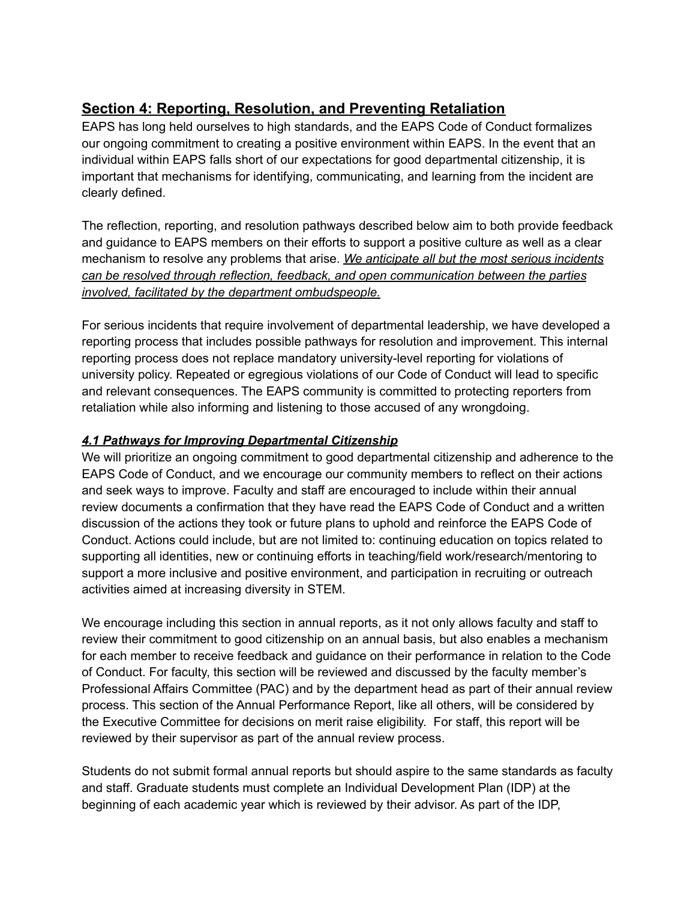# **Section 4: Reporting, Resolution, and Preventing Retaliation**

EAPS has long held ourselves to high standards, and the EAPS Code of Conduct formalizes our ongoing commitment to creating a positive environment within EAPS. In the event that an individual within EAPS falls short of our expectations for good departmental citizenship, it is important that mechanisms for identifying, communicating, and learning from the incident are clearly defined.

The reflection, reporting, and resolution pathways described below aim to both provide feedback and guidance to EAPS members on their efforts to support a positive culture as well as a clear mechanism to resolve any problems that arise. *We anticipate all but the most serious incidents can be resolved through reflection, feedback, and open communication between the parties involved, facilitated by the department ombudspeople.*

For serious incidents that require involvement of departmental leadership, we have developed a reporting process that includes possible pathways for resolution and improvement. This internal reporting process does not replace mandatory university-level reporting for violations of university policy. Repeated or egregious violations of our Code of Conduct will lead to specific and relevant consequences. The EAPS community is committed to protecting reporters from retaliation while also informing and listening to those accused of any wrongdoing.

## *4.1 Pathways for Improving Departmental Citizenship*

We will prioritize an ongoing commitment to good departmental citizenship and adherence to the EAPS Code of Conduct, and we encourage our community members to reflect on their actions and seek ways to improve. Faculty and staff are encouraged to include within their annual review documents a confirmation that they have read the EAPS Code of Conduct and a written discussion of the actions they took or future plans to uphold and reinforce the EAPS Code of Conduct. Actions could include, but are not limited to: continuing education on topics related to supporting all identities, new or continuing efforts in teaching/field work/research/mentoring to support a more inclusive and positive environment, and participation in recruiting or outreach activities aimed at increasing diversity in STEM.

We encourage including this section in annual reports, as it not only allows faculty and staff to review their commitment to good citizenship on an annual basis, but also enables a mechanism for each member to receive feedback and guidance on their performance in relation to the Code of Conduct. For faculty, this section will be reviewed and discussed by the faculty member's Professional Affairs Committee (PAC) and by the department head as part of their annual review process. This section of the Annual Performance Report, like all others, will be considered by the Executive Committee for decisions on merit raise eligibility. For staff, this report will be reviewed by their supervisor as part of the annual review process.

Students do not submit formal annual reports but should aspire to the same standards as faculty and staff. Graduate students must complete an Individual Development Plan (IDP) at the beginning of each academic year which is reviewed by their advisor. As part of the IDP,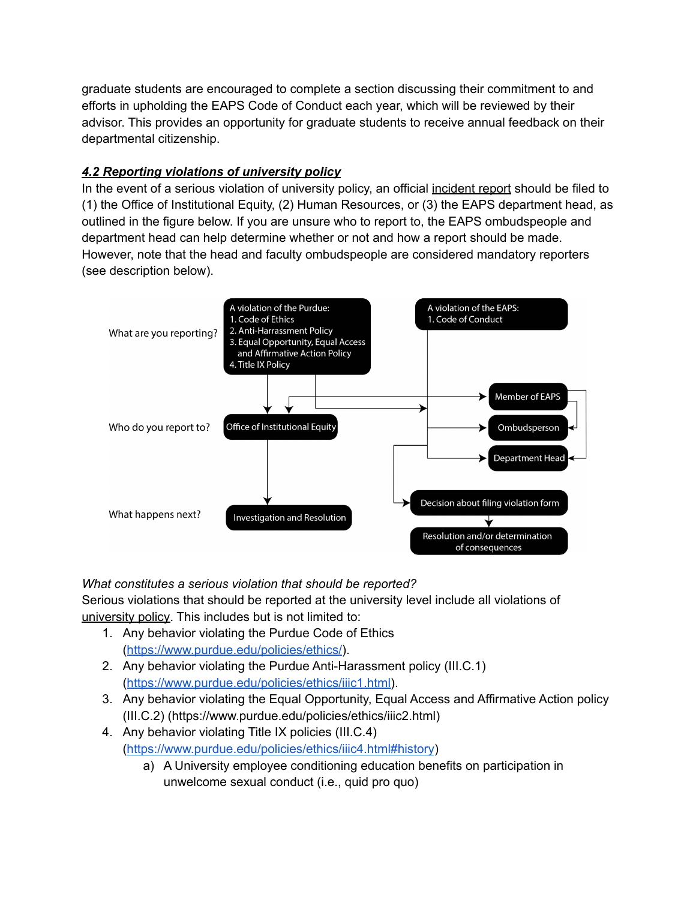graduate students are encouraged to complete a section discussing their commitment to and efforts in upholding the EAPS Code of Conduct each year, which will be reviewed by their advisor. This provides an opportunity for graduate students to receive annual feedback on their departmental citizenship.

## *4.2 Reporting violations of university policy*

In the event of a serious violation of university policy, an official incident report should be filed to (1) the Office of Institutional Equity, (2) Human Resources, or (3) the EAPS department head, as outlined in the figure below. If you are unsure who to report to, the EAPS ombudspeople and department head can help determine whether or not and how a report should be made. However, note that the head and faculty ombudspeople are considered mandatory reporters (see description below).



*What constitutes a serious violation that should be reported?*

Serious violations that should be reported at the university level include all violations of university policy. This includes but is not limited to:

- 1. Any behavior violating the Purdue Code of Ethics (<https://www.purdue.edu/policies/ethics/>).
- 2. Any behavior violating the Purdue Anti-Harassment policy (III.C.1) ([https://www.purdue.edu/policies/ethics/iiic1.html\)](https://www.purdue.edu/policies/ethics/iiic1.html).
- 3. Any behavior violating the Equal Opportunity, Equal Access and Affirmative Action policy (III.C.2) (https://www.purdue.edu/policies/ethics/iiic2.html)
- 4. Any behavior violating Title IX policies (III.C.4) (<https://www.purdue.edu/policies/ethics/iiic4.html#history>)
	- a) A University employee conditioning education benefits on participation in unwelcome sexual conduct (i.e., quid pro quo)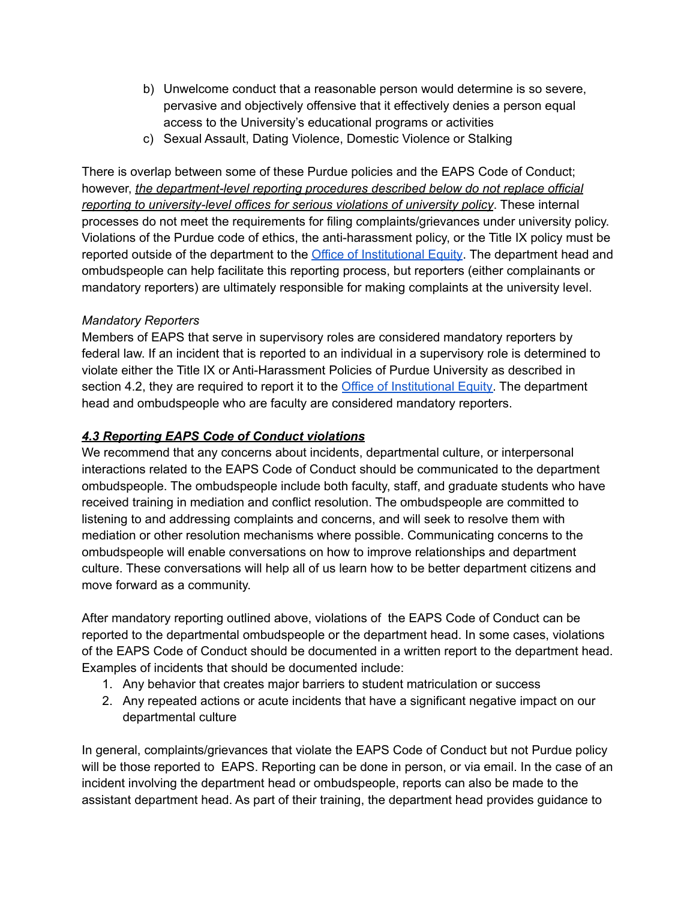- b) Unwelcome conduct that a reasonable person would determine is so severe, pervasive and objectively offensive that it effectively denies a person equal access to the University's educational programs or activities
- c) Sexual Assault, Dating Violence, Domestic Violence or Stalking

There is overlap between some of these Purdue policies and the EAPS Code of Conduct; however, *the department-level reporting procedures described below do not replace official reporting to university-level offices for serious violations of university policy*. These internal processes do not meet the requirements for filing complaints/grievances under university policy. Violations of the Purdue code of ethics, the anti-harassment policy, or the Title IX policy must be reported outside of the department to the **Office of [Institutional](https://www.purdue.edu/ethics/resources/resolving-complaints.php) Equity**. The department head and ombudspeople can help facilitate this reporting process, but reporters (either complainants or mandatory reporters) are ultimately responsible for making complaints at the university level.

#### *Mandatory Reporters*

Members of EAPS that serve in supervisory roles are considered mandatory reporters by federal law. If an incident that is reported to an individual in a supervisory role is determined to violate either the Title IX or Anti-Harassment Policies of Purdue University as described in section 4.2, they are required to report it to the Office of [Institutional](https://www.purdue.edu/ethics/resources/resolving-complaints.php) Equity. The department head and ombudspeople who are faculty are considered mandatory reporters.

#### *4.3 Reporting EAPS Code of Conduct violations*

We recommend that any concerns about incidents, departmental culture, or interpersonal interactions related to the EAPS Code of Conduct should be communicated to the department ombudspeople. The ombudspeople include both faculty, staff, and graduate students who have received training in mediation and conflict resolution. The ombudspeople are committed to listening to and addressing complaints and concerns, and will seek to resolve them with mediation or other resolution mechanisms where possible. Communicating concerns to the ombudspeople will enable conversations on how to improve relationships and department culture. These conversations will help all of us learn how to be better department citizens and move forward as a community.

After mandatory reporting outlined above, violations of the EAPS Code of Conduct can be reported to the departmental ombudspeople or the department head. In some cases, violations of the EAPS Code of Conduct should be documented in a written report to the department head. Examples of incidents that should be documented include:

- 1. Any behavior that creates major barriers to student matriculation or success
- 2. Any repeated actions or acute incidents that have a significant negative impact on our departmental culture

In general, complaints/grievances that violate the EAPS Code of Conduct but not Purdue policy will be those reported to EAPS. Reporting can be done in person, or via email. In the case of an incident involving the department head or ombudspeople, reports can also be made to the assistant department head. As part of their training, the department head provides guidance to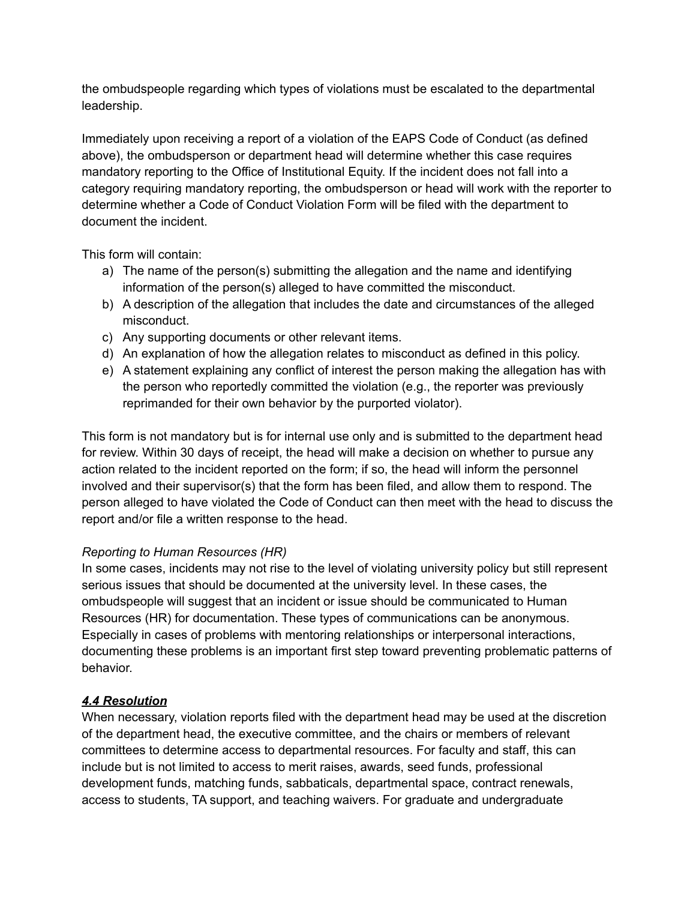the ombudspeople regarding which types of violations must be escalated to the departmental leadership.

Immediately upon receiving a report of a violation of the EAPS Code of Conduct (as defined above), the ombudsperson or department head will determine whether this case requires mandatory reporting to the Office of Institutional Equity. If the incident does not fall into a category requiring mandatory reporting, the ombudsperson or head will work with the reporter to determine whether a Code of Conduct Violation Form will be filed with the department to document the incident.

This form will contain:

- a) The name of the person(s) submitting the allegation and the name and identifying information of the person(s) alleged to have committed the misconduct.
- b) A description of the allegation that includes the date and circumstances of the alleged misconduct.
- c) Any supporting documents or other relevant items.
- d) An explanation of how the allegation relates to misconduct as defined in this policy.
- e) A statement explaining any conflict of interest the person making the allegation has with the person who reportedly committed the violation (e.g., the reporter was previously reprimanded for their own behavior by the purported violator).

This form is not mandatory but is for internal use only and is submitted to the department head for review. Within 30 days of receipt, the head will make a decision on whether to pursue any action related to the incident reported on the form; if so, the head will inform the personnel involved and their supervisor(s) that the form has been filed, and allow them to respond. The person alleged to have violated the Code of Conduct can then meet with the head to discuss the report and/or file a written response to the head.

## *Reporting to Human Resources (HR)*

In some cases, incidents may not rise to the level of violating university policy but still represent serious issues that should be documented at the university level. In these cases, the ombudspeople will suggest that an incident or issue should be communicated to Human Resources (HR) for documentation. These types of communications can be anonymous. Especially in cases of problems with mentoring relationships or interpersonal interactions, documenting these problems is an important first step toward preventing problematic patterns of behavior.

## *4.4 Resolution*

When necessary, violation reports filed with the department head may be used at the discretion of the department head, the executive committee, and the chairs or members of relevant committees to determine access to departmental resources. For faculty and staff, this can include but is not limited to access to merit raises, awards, seed funds, professional development funds, matching funds, sabbaticals, departmental space, contract renewals, access to students, TA support, and teaching waivers. For graduate and undergraduate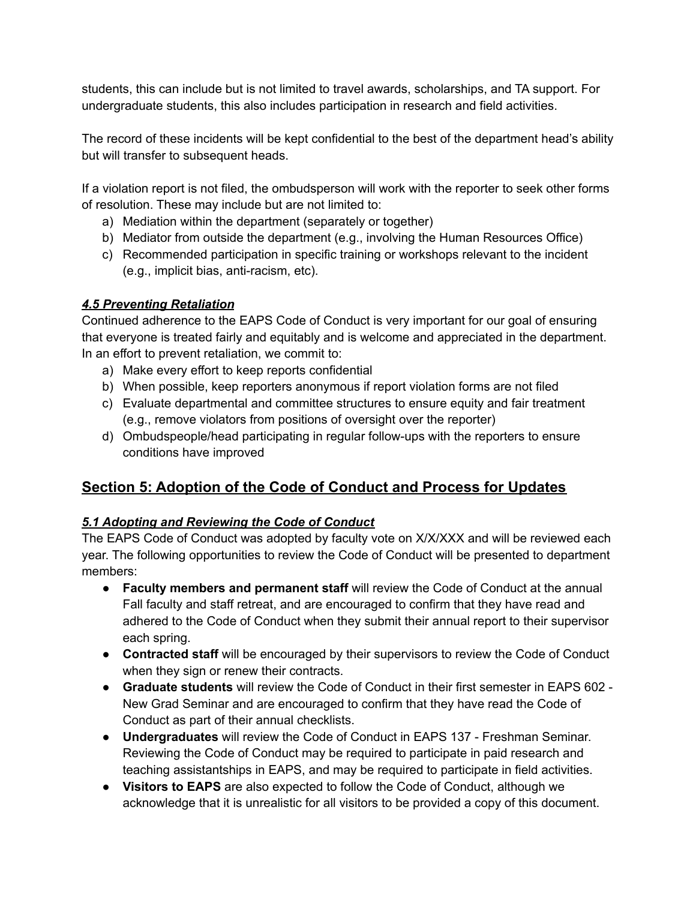students, this can include but is not limited to travel awards, scholarships, and TA support. For undergraduate students, this also includes participation in research and field activities.

The record of these incidents will be kept confidential to the best of the department head's ability but will transfer to subsequent heads.

If a violation report is not filed, the ombudsperson will work with the reporter to seek other forms of resolution. These may include but are not limited to:

- a) Mediation within the department (separately or together)
- b) Mediator from outside the department (e.g., involving the Human Resources Office)
- c) Recommended participation in specific training or workshops relevant to the incident (e.g., implicit bias, anti-racism, etc).

## *4.5 Preventing Retaliation*

Continued adherence to the EAPS Code of Conduct is very important for our goal of ensuring that everyone is treated fairly and equitably and is welcome and appreciated in the department. In an effort to prevent retaliation, we commit to:

- a) Make every effort to keep reports confidential
- b) When possible, keep reporters anonymous if report violation forms are not filed
- c) Evaluate departmental and committee structures to ensure equity and fair treatment (e.g., remove violators from positions of oversight over the reporter)
- d) Ombudspeople/head participating in regular follow-ups with the reporters to ensure conditions have improved

## **Section 5: Adoption of the Code of Conduct and Process for Updates**

## *5.1 Adopting and Reviewing the Code of Conduct*

The EAPS Code of Conduct was adopted by faculty vote on X/X/XXX and will be reviewed each year. The following opportunities to review the Code of Conduct will be presented to department members:

- **Faculty members and permanent staff** will review the Code of Conduct at the annual Fall faculty and staff retreat, and are encouraged to confirm that they have read and adhered to the Code of Conduct when they submit their annual report to their supervisor each spring.
- **● Contracted staff** will be encouraged by their supervisors to review the Code of Conduct when they sign or renew their contracts.
- **Graduate students** will review the Code of Conduct in their first semester in EAPS 602 New Grad Seminar and are encouraged to confirm that they have read the Code of Conduct as part of their annual checklists.
- **● Undergraduates** will review the Code of Conduct in EAPS 137 Freshman Seminar. Reviewing the Code of Conduct may be required to participate in paid research and teaching assistantships in EAPS, and may be required to participate in field activities.
- **Visitors to EAPS** are also expected to follow the Code of Conduct, although we acknowledge that it is unrealistic for all visitors to be provided a copy of this document.